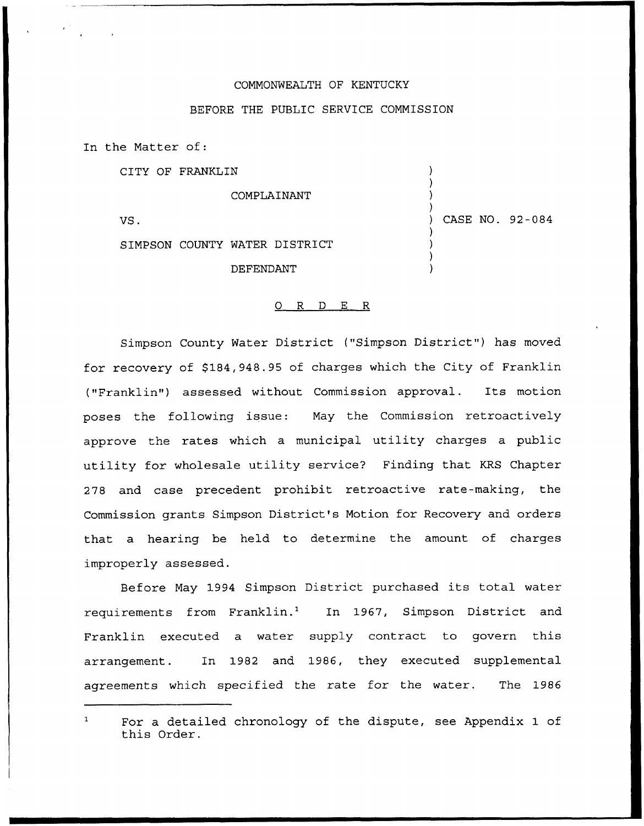#### COMMONWEALTH OF KENTUCKY

#### BEFORE THE PUBLIC SERVICE COMMISSION

In the Matter of:

CITY OF FRANKLIN

COMPLAINANT

VS.

) CASE NO. 92-084

) ) ) )

) ) ) )

SIMPSON COUNTY WATER DISTRICT

DEFENDANT

#### 0 R <sup>D</sup> E R

Simpson County Water District ("Simpson District") has moved for recovery of \$184,948.95 of charges which the City of Franklin {"Franklin") assessed without Commission approval. Its motion poses the following issue: May the Commission retroactively approve the rates which a municipal utility charges a public utility for wholesale utility service? Finding that KRS Chapter 278 and case precedent prohibit retroactive rate-making, the Commission grants Simpson District's Motion for Recovery and. orders that a hearing be held to determine the amount of charges improperly assessed.

Before May 1994 Simpson District purchased its total water requirements from Franklin.<sup>1</sup> In 1967, Simpson District and Franklin executed a water supply contract to govern this arrangement. In 1982 and 1986, they executed supplemental agreements which specified the rate for the water. The 1986

For a detailed chronology of the dispute, see Appendix 1 of this Order.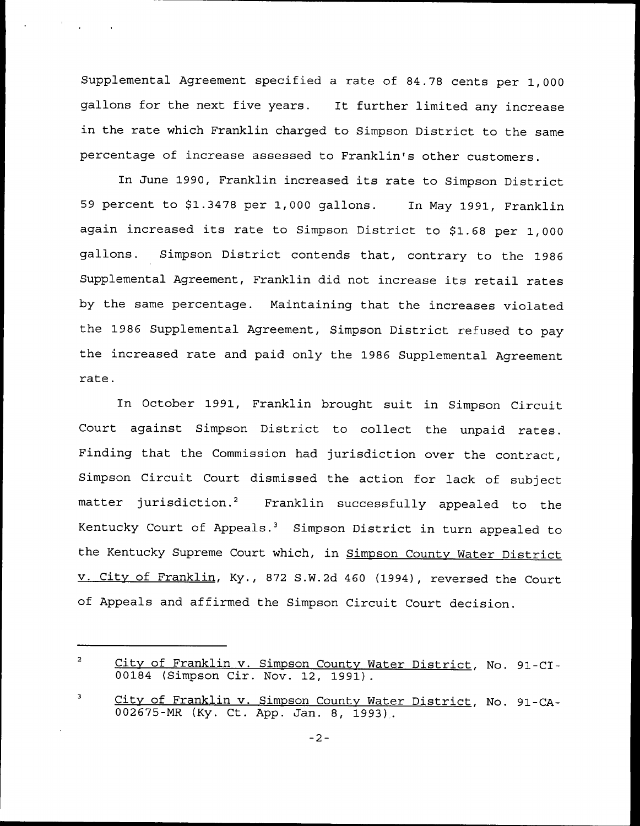Supplemental Agreement specified a rate of 84.78 cents per 1,000 gallons for the next five years. It further limited any increase in the rate which Franklin charged to Simpson District to the same percentage of increase assessed to Franklin's other customers.

In June 1990, Franklin increased its rate to Simpson District 59 percent to \$1.3478 per 1,000 gallons. In May 1991, Franklin again increased its rate to Simpson District to \$1.68 per 1,000 gallons. Simpson District contends that, contrary to the 1986 Supplemental Agreement, Franklin did not increase its retail rates by the same percentage. Maintaining that the increases violated the 1986 Supplemental Agreement, Simpson District refused to pay the increased rate and paid only the 1986 Supplemental Agreement rate.

In October 1991, Franklin brought suit in Simpson Circuit Court against Simpson District to collect the unpaid rates. Finding that the Commission had jurisdiction over the contract, Simpson Circuit Court dismissed the action for lack of subject matter jurisdiction.<sup>2</sup> Franklin successfully appealed to the Kentucky Court of Appeals.<sup>3</sup> Simpson District in turn appealed to the Kentucky Supreme Court which, in Simpson County Water District v. Citv of Franklin, Ky., <sup>872</sup> S.W.2d 460 (1994), reversed the Court of Appeals and affirmed the Simpson Circuit Court decision.

 $\overline{2}$ City of Franklin v. Simpson County Water District, No. 91-CI-00184 (Simpson Cir. Nov. 12, 1991).

 $\overline{3}$ Citv of Franklin v. Simpson Countv Water District, No. 91-CA-002675-MR (Ky. Ct. App. Jan. 8, 1993).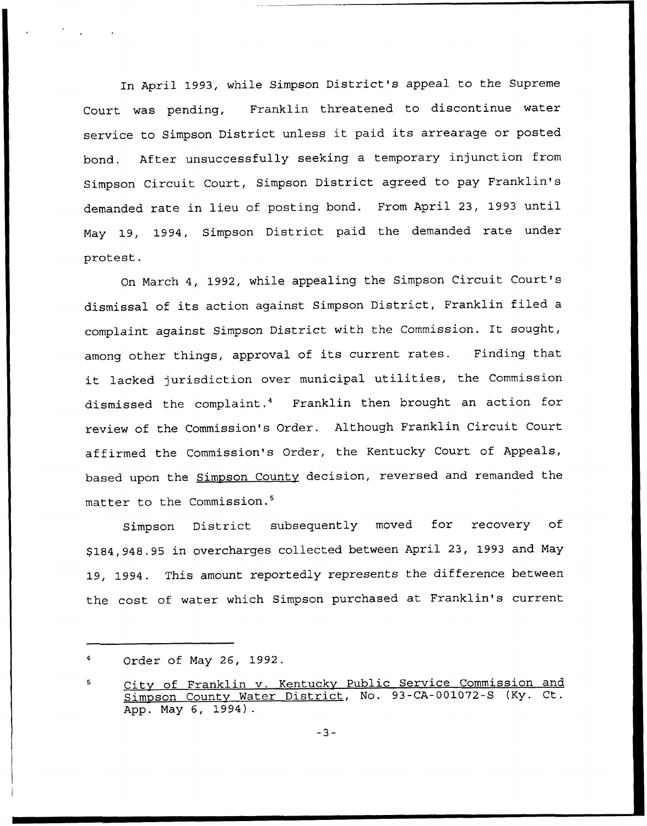In April 1993, while Simpson District's appeal to the Supreme Court was pending, Franklin threatened to discontinue water service to Simpson District unless it paid its arrearage or posted bond. After unsuccessfully seeking a temporary injunction from Simpson Circuit Court, Simpson District agreed to pay Franklin's demanded rate in lieu of posting bond. From April 23, 1993 until Nay 19, 1994, Simpson District paid the demanded rate under protest.

On March 4, 1992, while appealing the Simpson Circuit Court's dismissal of its action against Simpson District, Franklin filed <sup>a</sup> complaint against Simpson District with the Commission. It sought, among other things, approval of its current rates. Finding that it lacked jurisdiction over municipal utilities, the Commission dismissed the complaint.<sup>4</sup> Franklin then brought an action for review of the Commission's Order. Although Franklin Circuit Court affirmed the Commission's Order, the Kentucky Court of Appeals, based upon the **Simpson County** decision, reversed and remanded the matter to the Commission.<sup>5</sup>

District subsequently moved for recovery of Simpson \$ 184,948.95 in overcharges collected between April 23, 1993 and Nay 19, 1994. This amount reportedly represents the difference between the cost of water which Simpson purchased at Franklin's current

Order of Nay 26, 1992.

Citv of Franklin v. Kentuckv Public Service Commission and Simpson Countv Water District, No. 93-CA-001072-S (Ky. Ct. App. Nay 6, 1994) .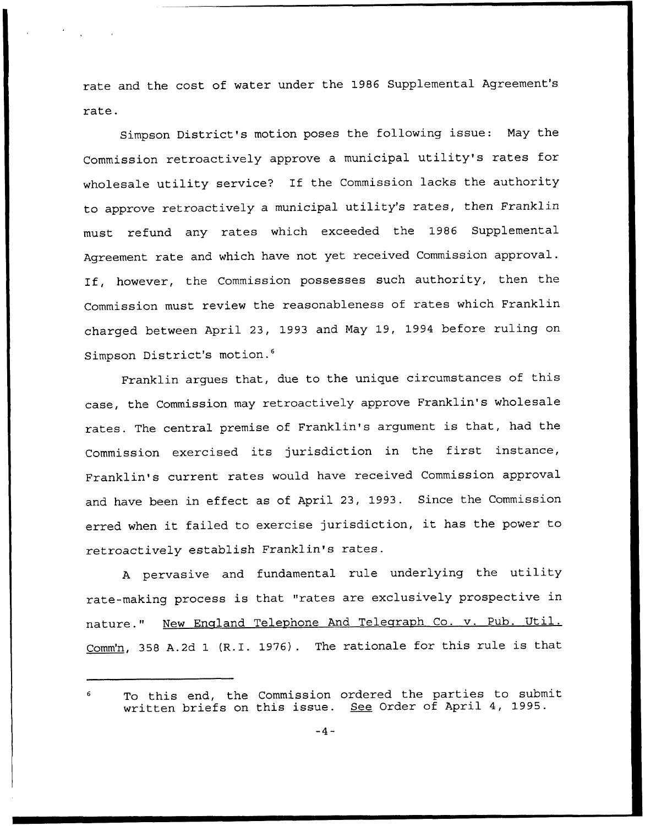rate and the cost of water under the 1986 Supplemental Agreement's rate.

Simpson District's motion poses the following issue: Nay the Commission retroactively approve <sup>a</sup> municipal utility's rates for wholesale utility service? If the Commission lacks the authority to approve retroactively <sup>a</sup> municipal utility's rates, then Franklin must refund any rates which exceeded the 1986 Supplemental Agreement rate and which have not yet received Commission approval. If, however, the Commission possesses such authority, then the Commission must review the reasonableness of rates which Franklin charged between April 23, 1993 and Nay 19, 1994 before ruling on Simpson District's motion.<sup>6</sup>

Franklin argues that, due to the unique circumstances of this case, the Commission may retroactively approve Franklin's wholesale rates. The central premise of Franklin's argument is that, had the Commission exercised its jurisdiction in the first instance, Franklin's current rates would have received Commission approval and have been in effect as of April 23, 1993. Since the Commission erred when it failed to exercise jurisdiction, it has the power to retroactively establish Franklin's rates.

<sup>A</sup> pervasive and fundamental rule underlying the utility rate-making process is that "rates are exclusively prospective in nature." New England Telephone And Telegraph Co. v. Pub. Util. Comm'n, <sup>358</sup> A.2d <sup>1</sup> (R.I. 1976). The rationale for this rule is that

To this end, the Commission ordered the parties to submit written briefs on this issue. See Order of April 4, 1995.

 $6^{\circ}$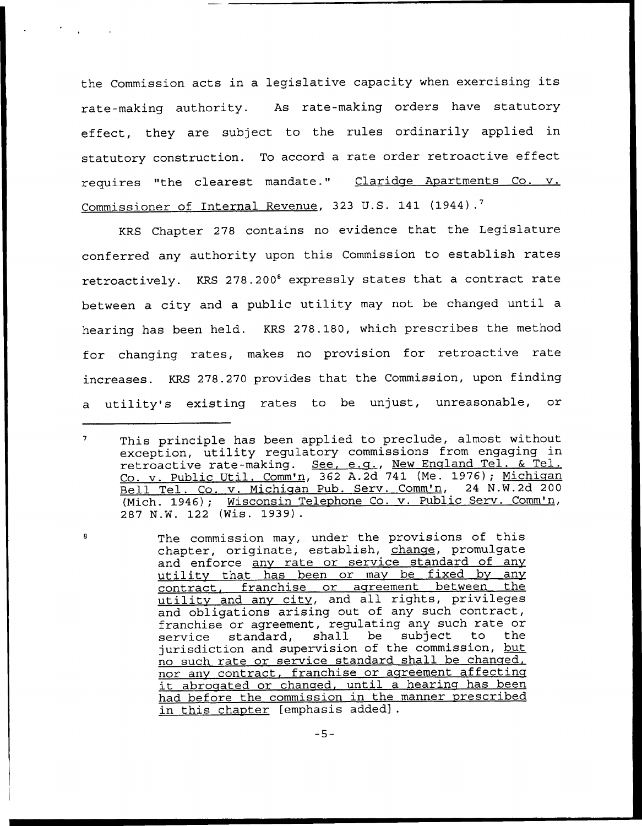the Commission acts in <sup>a</sup> legislative capacity when exercising its rate-making authority. As rate-making orders have statutory effect, they are subject to the rules ordinarily applied in statutory construction. To accord <sup>a</sup> rate order retroactive effect requires "the clearest mandate." Claridge Apartments Co. v. Commissioner of Internal Revenue, 323 U.S. 141 (1944).<sup>7</sup>

Chapter 278 contains no evidence that the Legislature conferred any authority upon this Commission to establish rates retroactively. KRS 278.200<sup>8</sup> expressly states that a contract rate between a city and a public utility may not be changed until a hearing has been held. KRS 278.180, which prescribes the method for changing rates, makes no provision for retroactive rate increases. KRS 278.270 provides that the Commission, upon finding a utility's existing rates to be unjust, unreasonable, or

 $\overline{7}$ This principle has been applied to preclude, almost without exception, utility regulatory commissions from engaging in retroactive rate-making. See, e.g., New England Tel. & Tel. Co. v. Public Util. Comm'n, 362 A.2d 741 (Me. 1976); Michigan Bell Tel. Co. v. Michiaan Pub. Serv. Comm'n, 24 N.W.2d 200 (Mich. 1946); Wisconsin Telephone Co. v. Public Serv. Comm'n, 287 N.W. 122 (Wis. 1939).

The commission may, under the provisions of this chapter, originate, establish, change, promulgate and enforce any rate or service standard of any utility that has been or may be fixed by any<br>contract, franchise or agreement between the contract, franchise or agreement between utilitv and anv citv, and all rights, privileges and obligations arising out of any such contract, franchise or agreement, regulating any such rate or<br>service standard, shall be subject to the service standard, shall be subject to the jurisdiction and supervision of the commission, but no such rate or service standard shall be changed, nor any contract, franchise or agreement affecting<br>it abrogated or changed, until a hearing has been had before the commission in the manner prescribed in this chapter [emphasis added].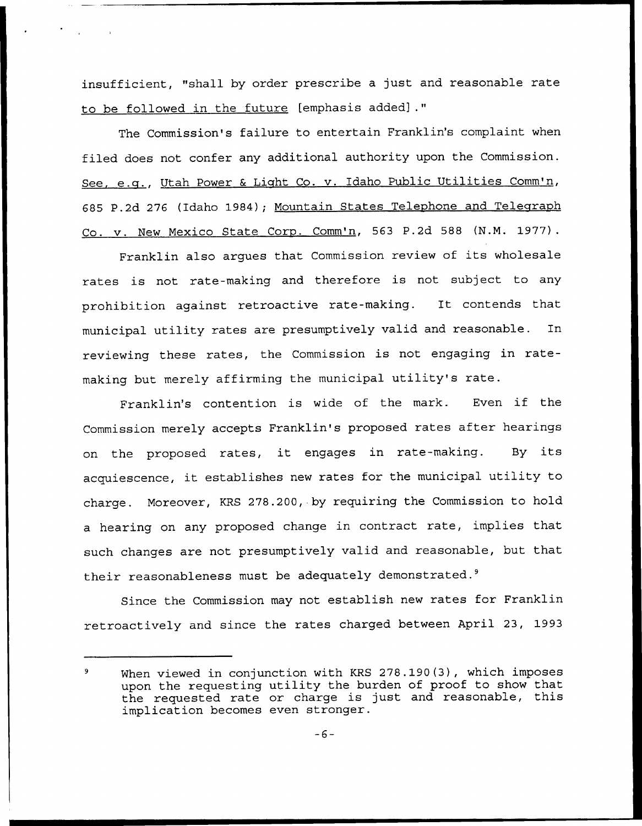insufficient, "shall by order prescribe a just and reasonable rate to be followed in the future [emphasis addedj."

The Commission's failure to entertain Franklin's complaint when filed does not confer any additional authority upon the Commission. See, e.q., Utah Power & Light Co. v. Idaho Public Utilities Comm'n, 685 P.2d 276 (Idaho 1984); Mountain States Telephone and Telegraph Co. v. New Mexico State Corp. Comm'n, 563 P.2d 588 (N.M. 1977).

Franklin also argues that Commission review of its wholesale rates is not rate-making and therefore is not subject to any prohibition against retroactive rate-making. It contends that municipal utility rates are presumptively valid and reasonable. In reviewing these rates, the Commission is not engaging in ratemaking but merely affirming the municipal utility's rate.

Franklin's contention is wide of the mark. Even if the Commission merely accepts Franklin's proposed rates after hearings on the proposed rates, it engages in rate-making. By its acquiescence, it establishes new rates for the municipal utility to charge. Moreover, KRS 278.200,-by requiring the Commission to hold a hearing on any proposed change in contract rate, implies that such changes are not presumptively valid and reasonable, but that their reasonableness must be adequately demonstrated. $9$ 

Since the Commission may not establish new rates for Franklin retroactively and since the rates charged between April 23, 1993

Nhen viewed in conjunction with KRS 278.190(3), which imposes 9 upon the requesting utility the burden of proof to show that the requested rate or charge is just and reasonable, this implication becomes even stronger.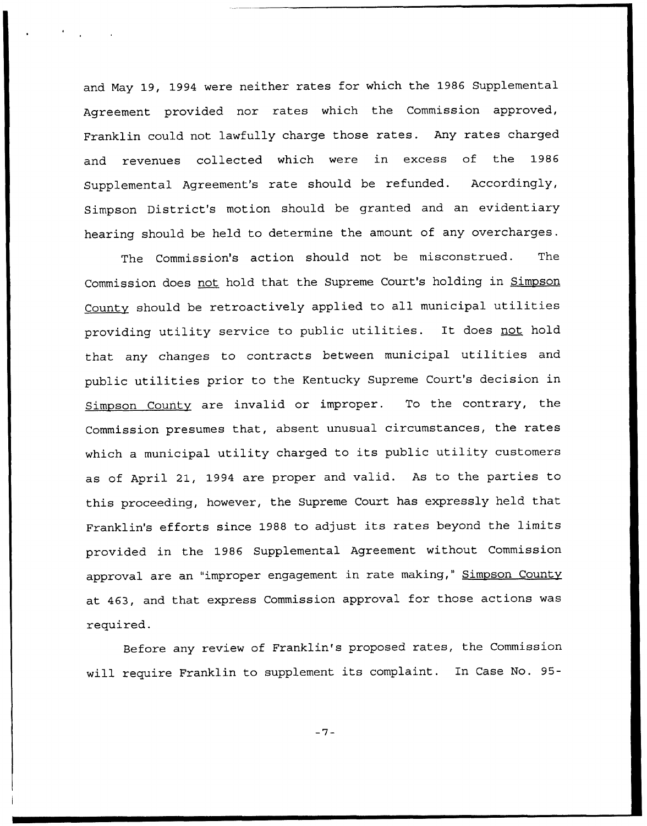and May 19, 1994 were neither rates for which the 1986 Supplemental Agreement provided nor rates which the Commission approved, Franklin could not lawfully charge those rates. Any rates charged and revenues collected which were in excess of the 1986 Supplemental Agreement's rate should be refunded. Accordingly, Simpson District's motion should be granted and an evidentiary hearing should be held to determine the amount of any overcharges.

The Commission's action should not be misconstrued. The Commission does not hold that the Supreme Court's holding in Simpson County should be retroactively applied to all municipal utilities providing utility service to public utilities. It does not hold that any changes to contracts between municipal utilities and public utilities prior to the Kentucky Supreme Court's decision in Simpson County are invalid or improper. To the contrary, the Commission presumes that, absent unusual circumstances, the rates which a municipal utility charged to its public utility customers as of April 21, 1994 are proper and valid. As to the parties to this proceeding, however, the Supreme Court has expressly held that Franklin's efforts since <sup>1988</sup> to adjust its rates beyond the limits provided in the 1986 Supplemental Agreement without Commission approval are an "improper engagement in rate making," Simpson County at 463, and that express Commission approval for those actions was required.

Before any review of Franklin's proposed rates, the Commission will require Franklin to supplement its complaint. In Case No. 95-

 $-7-$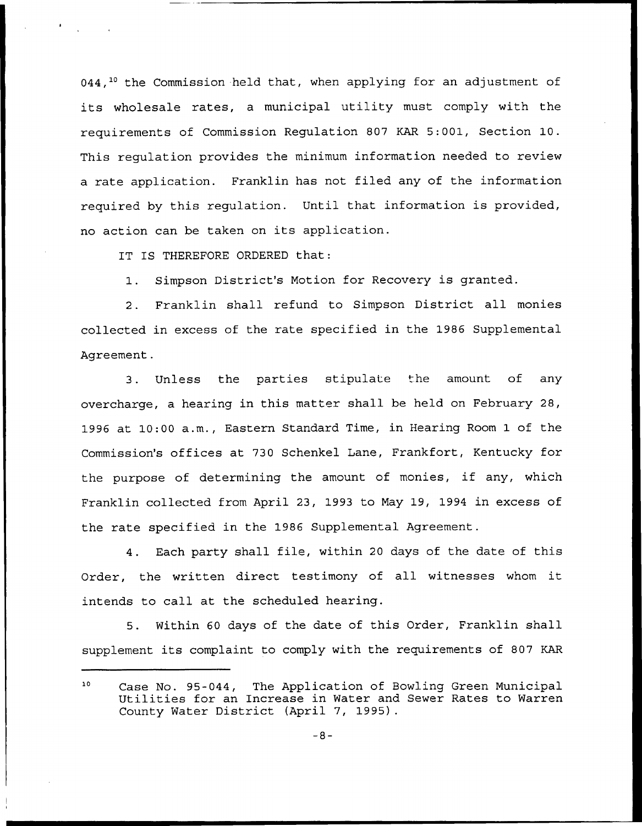044, $^{\text{10}}$  the Commission held that, when applying for an adjustment of its wholesale rates, <sup>a</sup> municipal utility must comply with the requirements of Commission Regulation 807 KAR 5:001, Section 10. This regulation provides the minimum information needed to review a rate application. Franklin has not filed any of the information required by this regulation. Until that information is provided, no action can be taken on its application.

IT IS THEREFORE ORDERED that:

1. Simpson District's Motion for Recovery is granted.

2. Franklin shall refund to Simpson District all monies collected in excess of the rate specified in the 1986 Supplemental Agreement.

3. Unless the parties stipulate the amount of any overcharge, a hearing in this matter shall be held on February 28, 1996 at 10:00 a.m., Eastern Standard Time, in Hearing Room 1 of the Commission's offices at 730 Schenkel Lane, Frankfort, Kentucky for the purpose of determining the amount of monies, if any, which Franklin collected from April 23, 1993 to May 19, 1994 in excess of the rate specified in the 1986 Supplemental Agreement.

4. Each party shall file, within <sup>20</sup> days of the date of this Order, the written direct testimony of all witnesses whom it intends to call at the scheduled hearing.

5. Within 60 days of the date of this Order, Franklin shall supplement its complaint to comply with the requirements of 807 KAR

<sup>10</sup> Case No. 95-044, The Application of Bowling Green Municipal Utilities for an Increase in Water and Sewer Rates to Warren County Water District (April 7, 1995).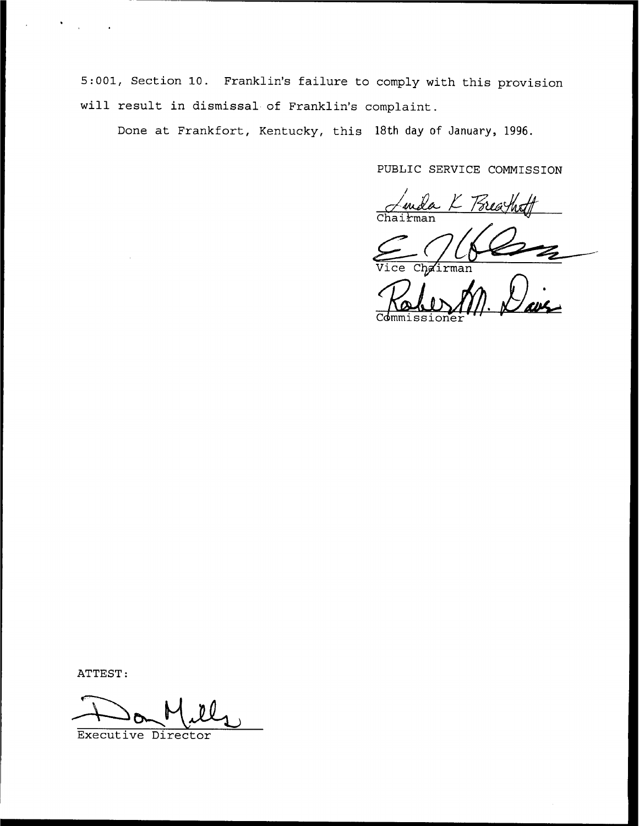5:001, Section 10. Franklin's failure to comply with this provision will result in dismissal of Franklin's complaint.

Done at Frankfort, Kentucky, this 18th day of January, 1996.

PUBLIC SERVICE COMMISSION

K Breach Chairma

Chairman

Commissioner

ATTEST

Executive Director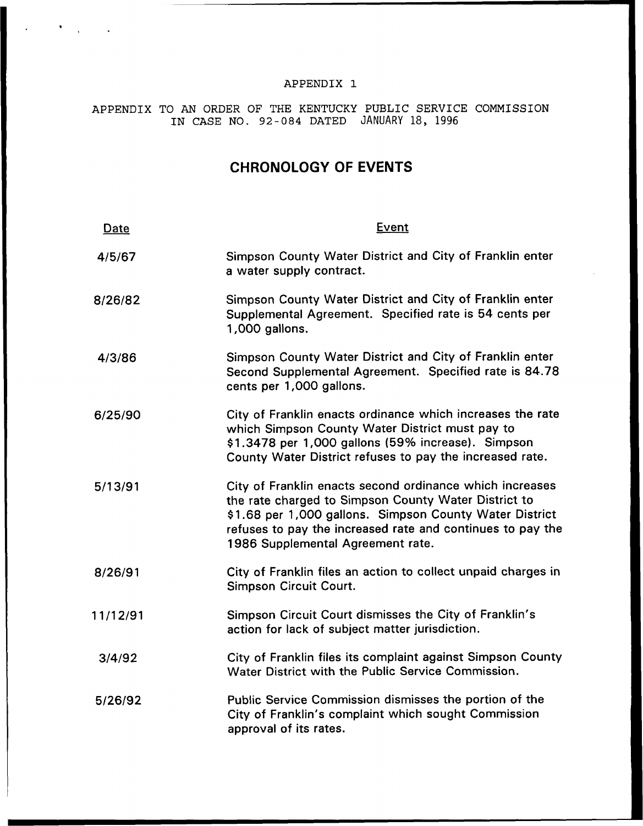### APPENDIX j.

## APPENDIX TO AN ORDER OF THE KENTUCKY PUBLIC SERVICE COMMISSION IN CASE NO. 92-084 DATED JANUARY 18, 1996

# CHRONOLOGY OF EVENTS

| Date     | Event                                                                                                                                                                                                                                                                          |
|----------|--------------------------------------------------------------------------------------------------------------------------------------------------------------------------------------------------------------------------------------------------------------------------------|
| 4/5/67   | Simpson County Water District and City of Franklin enter<br>a water supply contract.                                                                                                                                                                                           |
| 8/26/82  | Simpson County Water District and City of Franklin enter<br>Supplemental Agreement. Specified rate is 54 cents per<br>1,000 gallons.                                                                                                                                           |
| 4/3/86   | Simpson County Water District and City of Franklin enter<br>Second Supplemental Agreement. Specified rate is 84.78<br>cents per 1,000 gallons.                                                                                                                                 |
| 6/25/90  | City of Franklin enacts ordinance which increases the rate<br>which Simpson County Water District must pay to<br>\$1.3478 per 1,000 gallons (59% increase). Simpson<br>County Water District refuses to pay the increased rate.                                                |
| 5/13/91  | City of Franklin enacts second ordinance which increases<br>the rate charged to Simpson County Water District to<br>\$1.68 per 1,000 gallons. Simpson County Water District<br>refuses to pay the increased rate and continues to pay the<br>1986 Supplemental Agreement rate. |
| 8/26/91  | City of Franklin files an action to collect unpaid charges in<br>Simpson Circuit Court.                                                                                                                                                                                        |
| 11/12/91 | Simpson Circuit Court dismisses the City of Franklin's<br>action for lack of subject matter jurisdiction.                                                                                                                                                                      |
| 3/4/92   | City of Franklin files its complaint against Simpson County<br>Water District with the Public Service Commission.                                                                                                                                                              |
| 5/26/92  | Public Service Commission dismisses the portion of the<br>City of Franklin's complaint which sought Commission<br>approval of its rates.                                                                                                                                       |